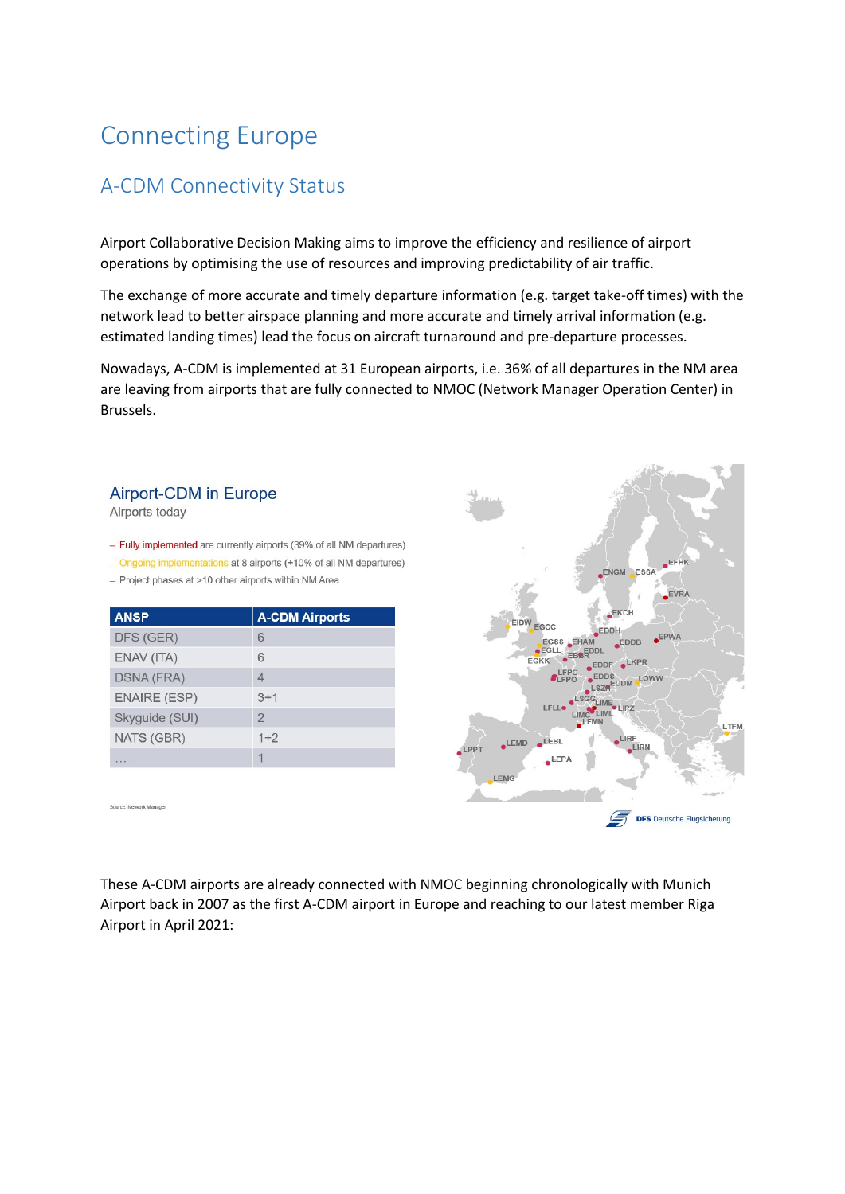## Connecting Europe

## A-CDM Connectivity Status

Airport Collaborative Decision Making aims to improve the efficiency and resilience of airport operations by optimising the use of resources and improving predictability of air traffic.

The exchange of more accurate and timely departure information (e.g. target take-off times) with the network lead to better airspace planning and more accurate and timely arrival information (e.g. estimated landing times) lead the focus on aircraft turnaround and pre-departure processes.

Nowadays, A-CDM is implemented at 31 European airports, i.e. 36% of all departures in the NM area are leaving from airports that are fully connected to NMOC (Network Manager Operation Center) in Brussels.

## **Airport-CDM in Europe**

Airports today

- Fully implemented are currently airports (39% of all NM departures)

- Ongoing implementations at 8 airports (+10% of all NM departures)

- Project phases at >10 other airports within NM Area

| <b>ANSP</b>         | <b>A-CDM Airports</b> |
|---------------------|-----------------------|
| DFS (GER)           | 6                     |
| ENAV (ITA)          | 6                     |
| <b>DSNA (FRA)</b>   | 4                     |
| <b>ENAIRE (ESP)</b> | $3+1$                 |
| Skyguide (SUI)      | $\overline{2}$        |
| NATS (GBR)          | $1+2$                 |
| $-1$                |                       |



Source: Network Manage

These A-CDM airports are already connected with NMOC beginning chronologically with Munich Airport back in 2007 as the first A-CDM airport in Europe and reaching to our latest member Riga Airport in April 2021: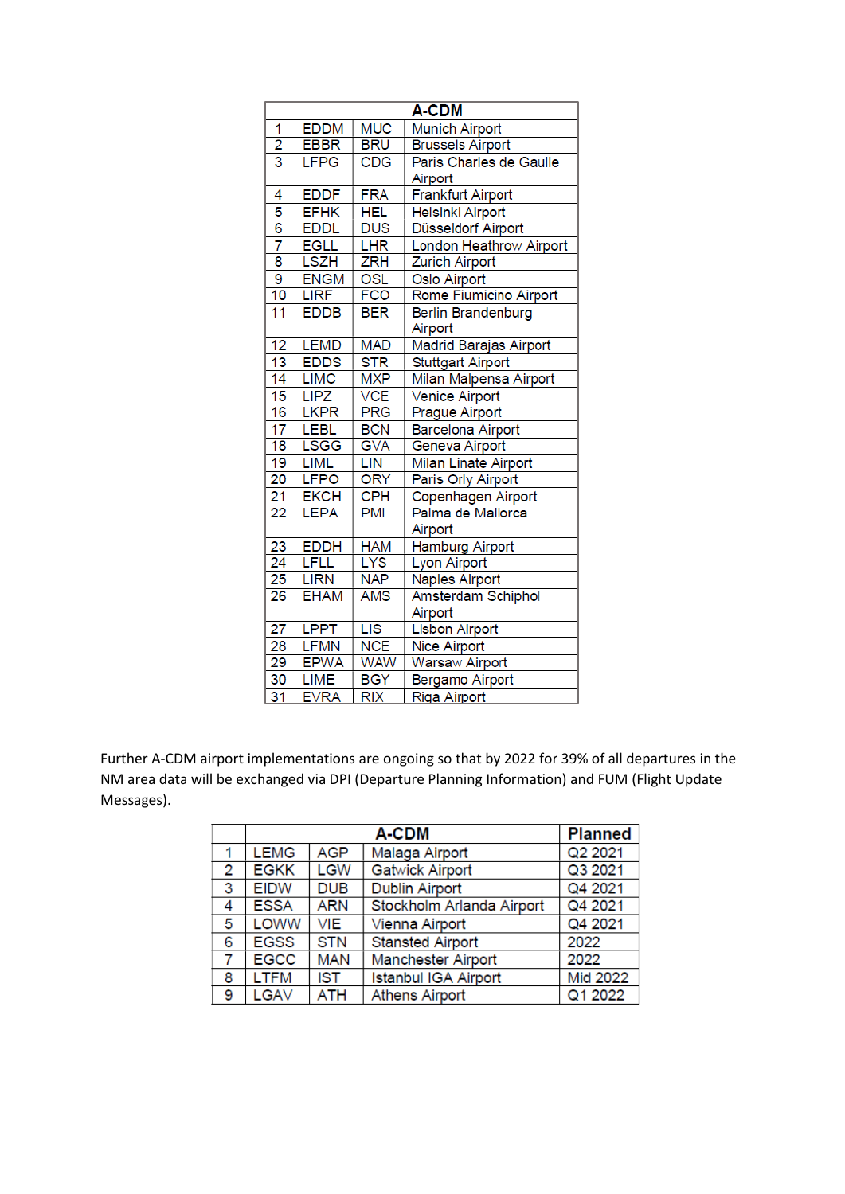|                                      | A-CDM       |            |                           |
|--------------------------------------|-------------|------------|---------------------------|
| 1                                    | <b>EDDM</b> | <b>MUC</b> | <b>Munich Airport</b>     |
| $\overline{2}$                       | <b>EBBR</b> | <b>BRU</b> | <b>Brussels Airport</b>   |
| $\overline{3}$                       | LFPG        | <b>CDG</b> | Paris Charles de Gaulle   |
|                                      |             |            | Airport                   |
| 4                                    | <b>EDDF</b> | <b>FRA</b> | <b>Frankfurt Airport</b>  |
| 5                                    | <b>EFHK</b> | <b>HEL</b> | <b>Helsinki Airport</b>   |
| $\overline{6}$                       | <b>EDDL</b> | <b>DUS</b> | Düsseldorf Airport        |
| 7                                    | <b>EGLL</b> | LHR        | London Heathrow Airport   |
| $\overline{\overline{\overline{8}}}$ | <b>LSZH</b> | ZRH        | <b>Zurich Airport</b>     |
| 9                                    | <b>ENGM</b> | OSL        | Oslo Airport              |
| 10                                   | <b>LIRF</b> | <b>FCO</b> | Rome Fiumicino Airport    |
| $\overline{11}$                      | <b>EDDB</b> | <b>BER</b> | <b>Berlin Brandenburg</b> |
|                                      |             |            | Airport                   |
| 12                                   | <b>LEMD</b> | <b>MAD</b> | Madrid Barajas Airport    |
| 13                                   | <b>EDDS</b> | STR        | <b>Stuttgart Airport</b>  |
| 14                                   | <b>LIMC</b> | <b>MXP</b> | Milan Malpensa Airport    |
| 15                                   | <b>LIPZ</b> | <b>VCE</b> | Venice Airport            |
| 16                                   | <b>LKPR</b> | <b>PRG</b> | <b>Prague Airport</b>     |
| 17                                   | <b>LEBL</b> | <b>BCN</b> | <b>Barcelona Airport</b>  |
| 18                                   | <b>LSGG</b> | <b>GVA</b> | Geneva Airport            |
| 19                                   | <b>LIML</b> | LIN        | Milan Linate Airport      |
| $\overline{20}$                      | <b>LFPO</b> | <b>ORY</b> | Paris Orly Airport        |
| 21                                   | <b>EKCH</b> | <b>CPH</b> | Copenhagen Airport        |
| 22                                   | <b>LEPA</b> | <b>PMI</b> | Palma de Mallorca         |
|                                      |             |            | Airport                   |
| 23                                   | <b>EDDH</b> | <b>HAM</b> | <b>Hamburg Airport</b>    |
| $\overline{24}$                      | LFLL        | <b>LYS</b> | <b>Lyon Airport</b>       |
| 25                                   | <b>LIRN</b> | <b>NAP</b> | <b>Naples Airport</b>     |
| 26                                   | <b>EHAM</b> | AMS        | Amsterdam Schiphol        |
|                                      |             |            | Airport                   |
| 27                                   | <b>LPPT</b> | LIS        | Lisbon Airport            |
| 28                                   | <b>LFMN</b> | <b>NCE</b> | <b>Nice Airport</b>       |
| $\overline{29}$                      | <b>EPWA</b> | <b>WAW</b> | <b>Warsaw Airport</b>     |
| 30                                   | LIME        | <b>BGY</b> | Bergamo Airport           |
| $\overline{31}$                      | <b>EVRA</b> | <b>RIX</b> | <b>Riga Airport</b>       |

Further A-CDM airport implementations are ongoing so that by 2022 for 39% of all departures in the NM area data will be exchanged via DPI (Departure Planning Information) and FUM (Flight Update Messages).

|                | A-CDM       |            |                             | <b>Planned</b> |
|----------------|-------------|------------|-----------------------------|----------------|
|                | <b>LEMG</b> | <b>AGP</b> | Malaga Airport              | Q2 2021        |
| $\overline{2}$ | <b>EGKK</b> | <b>LGW</b> | <b>Gatwick Airport</b>      | Q3 2021        |
| 3              | <b>EIDW</b> | <b>DUB</b> | <b>Dublin Airport</b>       | Q4 2021        |
| 4              | <b>ESSA</b> | <b>ARN</b> | Stockholm Arlanda Airport   | Q4 2021        |
| 5              | <b>LOWW</b> | VIE        | Vienna Airport              | Q4 2021        |
| 6              | <b>EGSS</b> | <b>STN</b> | <b>Stansted Airport</b>     | 2022           |
| 7              | <b>EGCC</b> | <b>MAN</b> | <b>Manchester Airport</b>   | 2022           |
| 8              | <b>LTFM</b> | <b>IST</b> | <b>Istanbul IGA Airport</b> | Mid 2022       |
| 9              | LGAV        | <b>ATH</b> | <b>Athens Airport</b>       | Q1 2022        |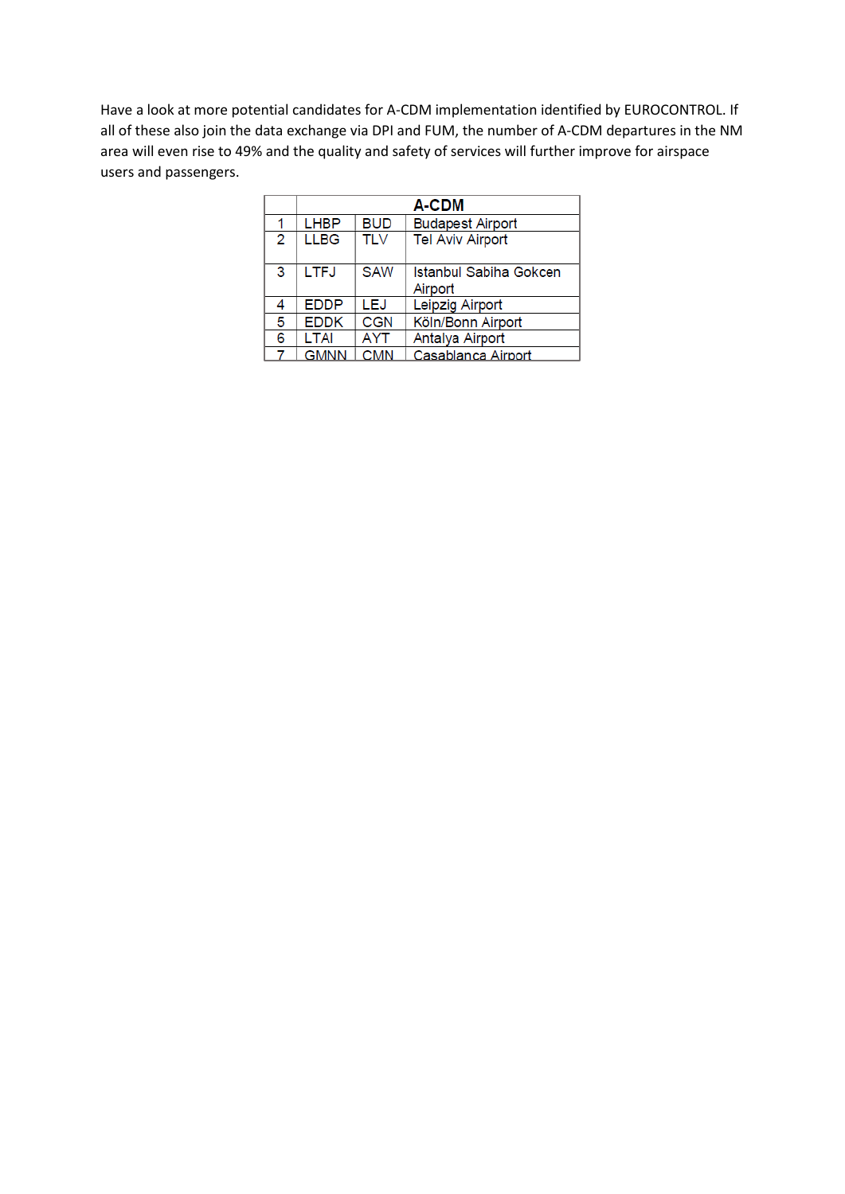Have a look at more potential candidates for A-CDM implementation identified by EUROCONTROL. If all of these also join the data exchange via DPI and FUM, the number of A-CDM departures in the NM area will even rise to 49% and the quality and safety of services will further improve for airspace users and passengers.

|   | A-CDM       |            |                                   |
|---|-------------|------------|-----------------------------------|
| 1 | <b>LHBP</b> | <b>BUD</b> | <b>Budapest Airport</b>           |
| 2 | <b>LLBG</b> | <b>TLV</b> | <b>Tel Aviv Airport</b>           |
| 3 | <b>LTFJ</b> | <b>SAW</b> | Istanbul Sabiha Gokcen<br>Airport |
| 4 | <b>EDDP</b> | LEJ        | Leipzig Airport                   |
| 5 | <b>EDDK</b> | <b>CGN</b> | Köln/Bonn Airport                 |
| 6 | <b>LTAI</b> | AYT        | Antalya Airport                   |
|   | <b>GMNN</b> | <b>CMN</b> | Casablanca Airport                |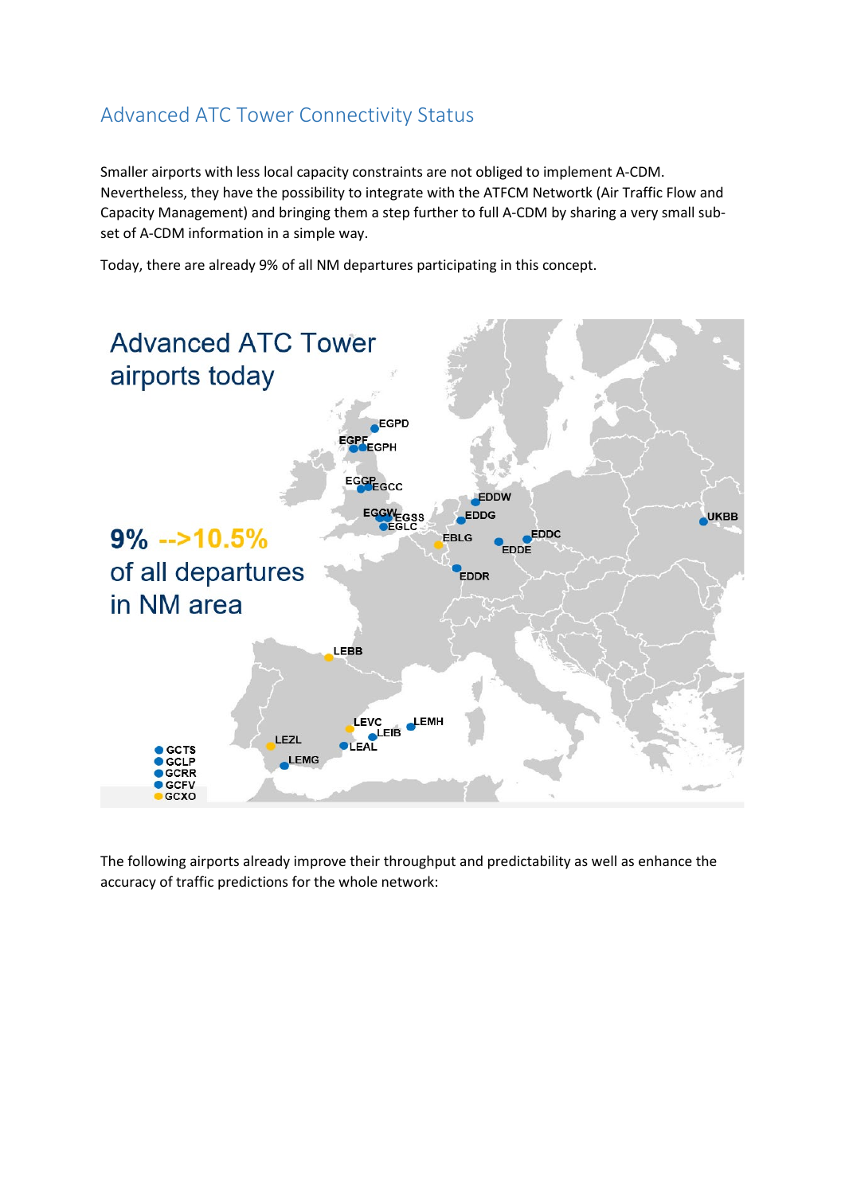## Advanced ATC Tower Connectivity Status

Smaller airports with less local capacity constraints are not obliged to implement A-CDM. Nevertheless, they have the possibility to integrate with the ATFCM Networtk (Air Traffic Flow and Capacity Management) and bringing them a step further to full A-CDM by sharing a very small subset of A-CDM information in a simple way.

Today, there are already 9% of all NM departures participating in this concept.



The following airports already improve their throughput and predictability as well as enhance the accuracy of traffic predictions for the whole network: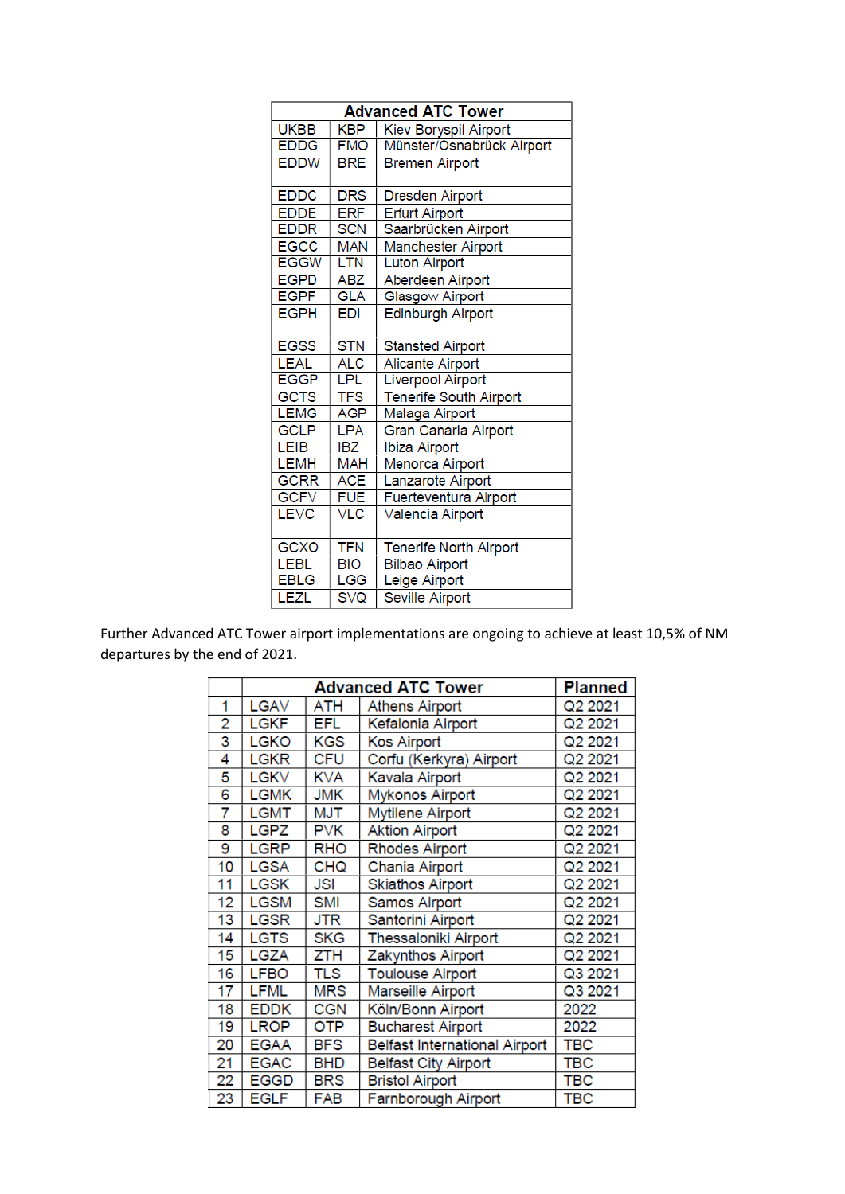| <b>Advanced ATC Tower</b> |            |                               |
|---------------------------|------------|-------------------------------|
| <b>UKBB</b>               | <b>KBP</b> | Kiev Boryspil Airport         |
| <b>EDDG</b>               | <b>FMO</b> | Münster/Osnabrück Airport     |
| <b>EDDW</b>               | <b>BRE</b> | <b>Bremen Airport</b>         |
|                           |            |                               |
| <b>EDDC</b>               | <b>DRS</b> | <b>Dresden Airport</b>        |
| <b>EDDE</b>               | <b>ERF</b> | <b>Erfurt Airport</b>         |
| <b>EDDR</b>               | <b>SCN</b> | Saarbrücken Airport           |
| <b>EGCC</b>               | <b>MAN</b> | Manchester Airport            |
| <b>EGGW</b>               | <b>LTN</b> | <b>Luton Airport</b>          |
| <b>EGPD</b>               | <b>ABZ</b> | Aberdeen Airport              |
| <b>EGPF</b>               | <b>GLA</b> | Glasgow Airport               |
| <b>EGPH</b>               | EDI        | <b>Edinburgh Airport</b>      |
|                           |            |                               |
| <b>EGSS</b>               | <b>STN</b> | <b>Stansted Airport</b>       |
| <b>LEAL</b>               | ALC        | <b>Alicante Airport</b>       |
| <b>EGGP</b>               | LPL        | <b>Liverpool Airport</b>      |
| <b>GCTS</b>               | <b>TFS</b> | <b>Tenerife South Airport</b> |
| <b>LEMG</b>               | <b>AGP</b> | Malaga Airport                |
| <b>GCLP</b>               | <b>LPA</b> | Gran Canaria Airport          |
| <b>LEIB</b>               | IBZ        | Ibiza Airport                 |
| <b>LEMH</b>               | <b>MAH</b> | Menorca Airport               |
| <b>GCRR</b>               | <b>ACE</b> | Lanzarote Airport             |
| <b>GCFV</b>               | <b>FUE</b> | Fuerteventura Airport         |
| <b>LEVC</b>               | VLC        | Valencia Airport              |
|                           |            |                               |
| GCXO                      | <b>TFN</b> | <b>Tenerife North Airport</b> |
| <b>LEBL</b>               | BIO        | <b>Bilbao Airport</b>         |
| <b>EBLG</b>               | LGG        | Leige Airport                 |
| <b>LEZL</b>               | <b>SVQ</b> | <b>Seville Airport</b>        |

Further Advanced ATC Tower airport implementations are ongoing to achieve at least 10,5% of NM departures by the end of 2021.

|                | <b>Advanced ATC Tower</b> |            |                                      | <b>Planned</b> |
|----------------|---------------------------|------------|--------------------------------------|----------------|
| 1              | LGAV                      | ATH        | <b>Athens Airport</b>                | Q2 2021        |
| $\overline{2}$ | <b>LGKF</b>               | <b>EFL</b> | Kefalonia Airport                    | Q2 2021        |
| 3              | <b>LGKO</b>               | KGS        | <b>Kos Airport</b>                   | Q2 2021        |
| 4              | <b>LGKR</b>               | <b>CFU</b> | Corfu (Kerkyra) Airport              | Q2 2021        |
| 5              | <b>LGKV</b>               | <b>KVA</b> | Kavala Airport                       | Q2 2021        |
| 6              | <b>LGMK</b>               | <b>JMK</b> | <b>Mykonos Airport</b>               | Q2 2021        |
| 7              | <b>LGMT</b>               | MJT        | Mytilene Airport                     | Q2 2021        |
| 8              | <b>LGPZ</b>               | <b>PVK</b> | <b>Aktion Airport</b>                | Q2 2021        |
| 9              | <b>LGRP</b>               | <b>RHO</b> | <b>Rhodes Airport</b>                | Q2 2021        |
| 10             | <b>LGSA</b>               | <b>CHQ</b> | Chania Airport                       | Q2 2021        |
| 11             | <b>LGSK</b>               | JSI        | <b>Skiathos Airport</b>              | Q2 2021        |
| 12             | <b>LGSM</b>               | <b>SMI</b> | <b>Samos Airport</b>                 | Q2 2021        |
| 13             | <b>LGSR</b>               | JTR        | Santorini Airport                    | Q2 2021        |
| 14             | <b>LGTS</b>               | <b>SKG</b> | <b>Thessaloniki Airport</b>          | Q2 2021        |
| 15             | <b>LGZA</b>               | ZTH        | Zakynthos Airport                    | Q2 2021        |
| 16             | <b>LFBO</b>               | TLS        | <b>Toulouse Airport</b>              | Q3 2021        |
| 17             | <b>LFML</b>               | <b>MRS</b> | Marseille Airport                    | Q3 2021        |
| 18             | <b>EDDK</b>               | <b>CGN</b> | Köln/Bonn Airport                    | 2022           |
| 19             | <b>LROP</b>               | <b>OTP</b> | <b>Bucharest Airport</b>             | 2022           |
| 20             | <b>EGAA</b>               | <b>BFS</b> | <b>Belfast International Airport</b> | TBC            |
| 21             | <b>EGAC</b>               | <b>BHD</b> | <b>Belfast City Airport</b>          | <b>TBC</b>     |
| 22             | <b>EGGD</b>               | <b>BRS</b> | <b>Bristol Airport</b>               | <b>TBC</b>     |
| 23             | <b>EGLF</b>               | FAB        | Farnborough Airport                  | <b>TBC</b>     |